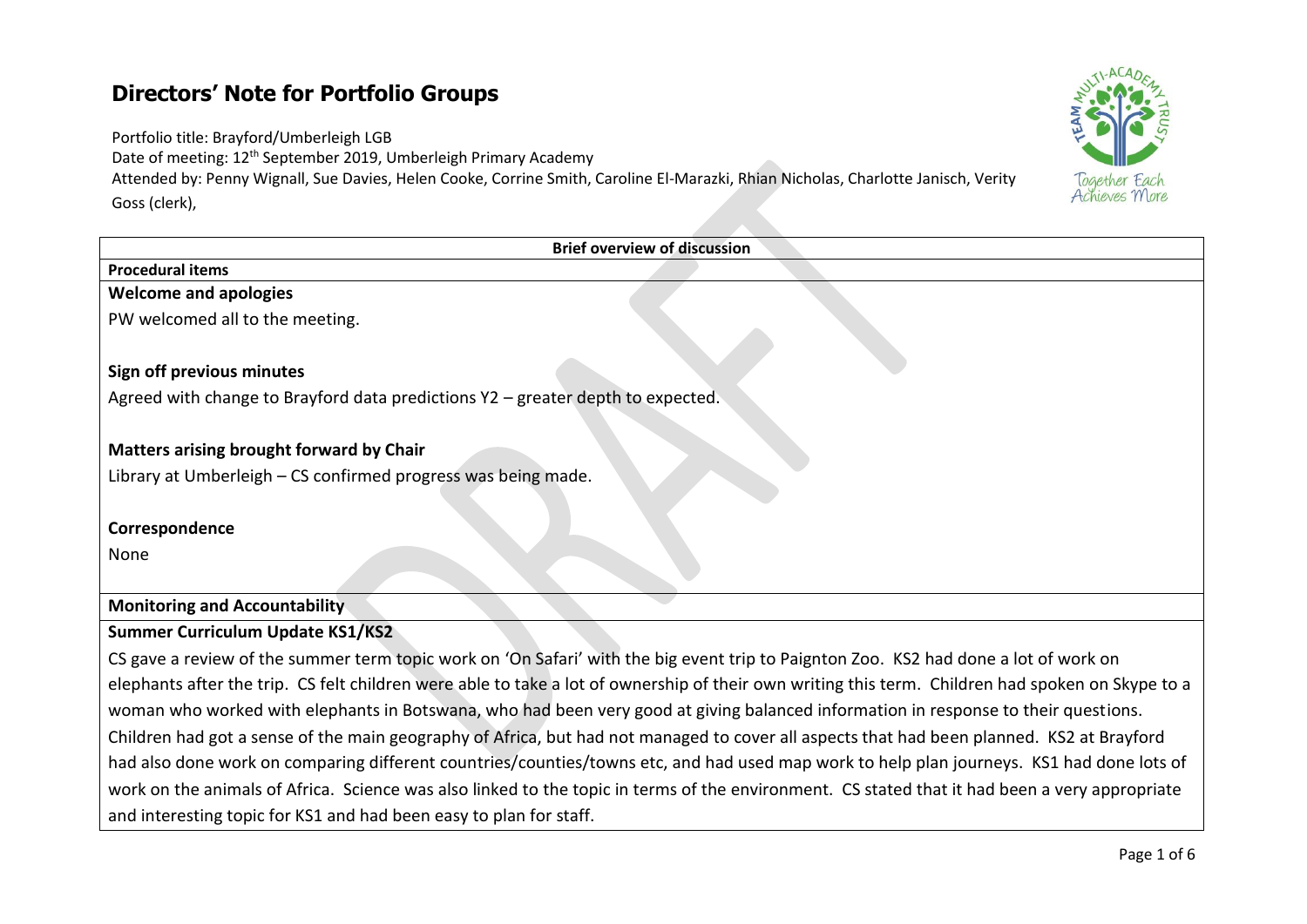## **Directors' Note for Portfolio Groups**

Portfolio title: Brayford/Umberleigh LGB

Date of meeting: 12<sup>th</sup> September 2019, Umberleigh Primary Academy

Attended by: Penny Wignall, Sue Davies, Helen Cooke, Corrine Smith, Caroline El-Marazki, Rhian Nicholas, Charlotte Janisch, Verity Goss (clerk),

| <b>Brief overview of discussion</b>                                                                                                               |
|---------------------------------------------------------------------------------------------------------------------------------------------------|
| <b>Procedural items</b>                                                                                                                           |
| <b>Welcome and apologies</b>                                                                                                                      |
| PW welcomed all to the meeting.                                                                                                                   |
| Sign off previous minutes                                                                                                                         |
| Agreed with change to Brayford data predictions Y2 - greater depth to expected.                                                                   |
|                                                                                                                                                   |
| Matters arising brought forward by Chair                                                                                                          |
| Library at Umberleigh - CS confirmed progress was being made.                                                                                     |
|                                                                                                                                                   |
| Correspondence                                                                                                                                    |
| None                                                                                                                                              |
|                                                                                                                                                   |
| <b>Monitoring and Accountability</b>                                                                                                              |
| <b>Summer Curriculum Update KS1/KS2</b>                                                                                                           |
| CS gave a review of the summer term topic work on 'On Safari' with the big event trip to Paignton Zoo. KS2 had done a lot of work on              |
| elephants after the trip. CS felt children were able to take a lot of ownership of their own writing this term. Children had spoken on Skype to a |
| woman who worked with elephants in Botswana, who had been very good at giving balanced information in response to their questions.                |
| Children had got a sense of the main geography of Africa, but had not managed to cover all aspects that had been planned. KS2 at Brayford         |
| had also done work on comparing different countries/counties/towns etc, and had used map work to help plan journeys. KS1 had done lots of         |
| work on the animals of Africa. Science was also linked to the topic in terms of the environment. CS stated that it had been a very appropriate    |
| and interesting topic for KS1 and had been easy to plan for staff.                                                                                |

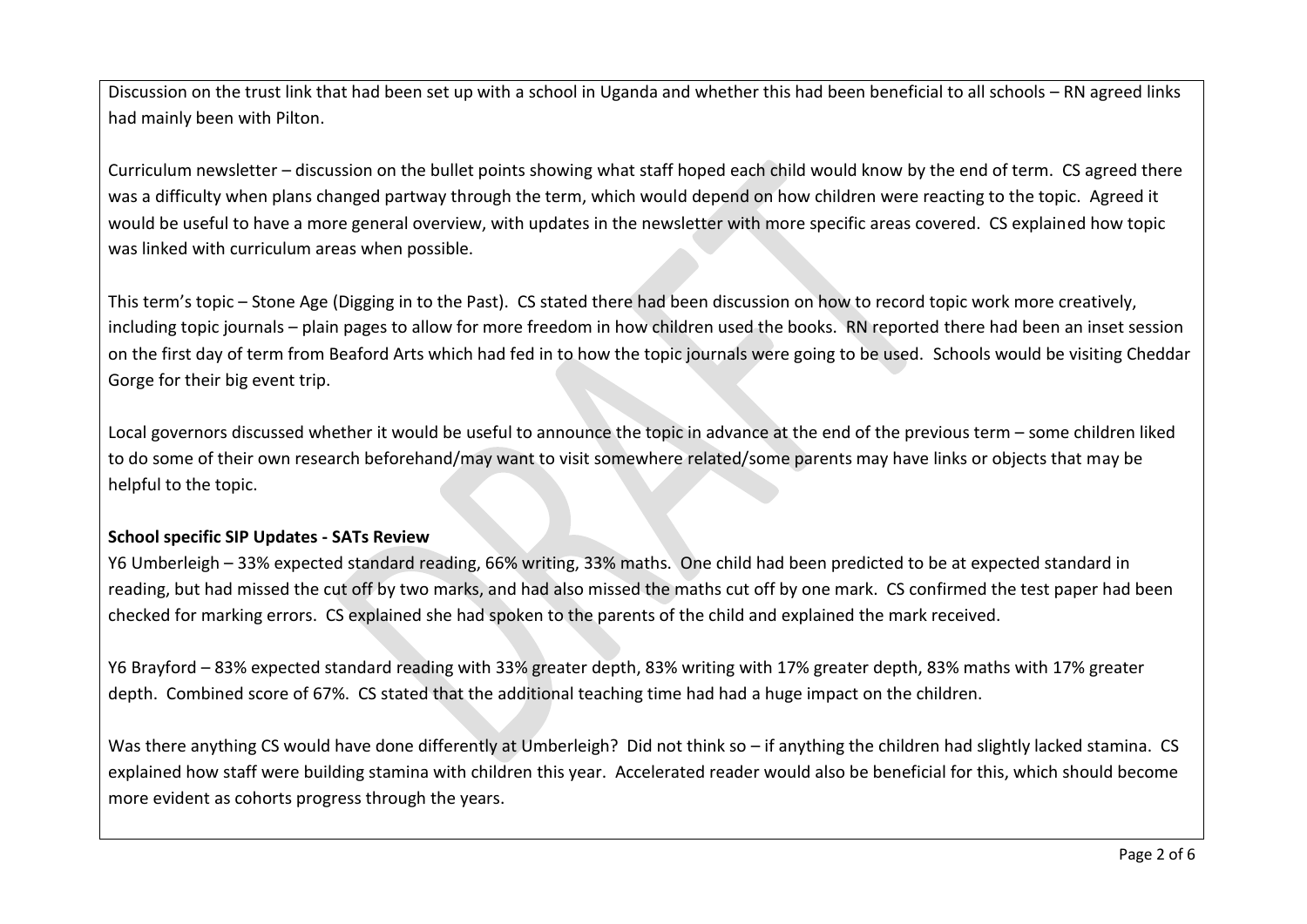Discussion on the trust link that had been set up with a school in Uganda and whether this had been beneficial to all schools – RN agreed links had mainly been with Pilton.

Curriculum newsletter – discussion on the bullet points showing what staff hoped each child would know by the end of term. CS agreed there was a difficulty when plans changed partway through the term, which would depend on how children were reacting to the topic. Agreed it would be useful to have a more general overview, with updates in the newsletter with more specific areas covered. CS explained how topic was linked with curriculum areas when possible.

This term's topic – Stone Age (Digging in to the Past). CS stated there had been discussion on how to record topic work more creatively, including topic journals – plain pages to allow for more freedom in how children used the books. RN reported there had been an inset session on the first day of term from Beaford Arts which had fed in to how the topic journals were going to be used. Schools would be visiting Cheddar Gorge for their big event trip.

Local governors discussed whether it would be useful to announce the topic in advance at the end of the previous term – some children liked to do some of their own research beforehand/may want to visit somewhere related/some parents may have links or objects that may be helpful to the topic.

#### **School specific SIP Updates - SATs Review**

Y6 Umberleigh – 33% expected standard reading, 66% writing, 33% maths. One child had been predicted to be at expected standard in reading, but had missed the cut off by two marks, and had also missed the maths cut off by one mark. CS confirmed the test paper had been checked for marking errors. CS explained she had spoken to the parents of the child and explained the mark received.

Y6 Brayford – 83% expected standard reading with 33% greater depth, 83% writing with 17% greater depth, 83% maths with 17% greater depth. Combined score of 67%. CS stated that the additional teaching time had had a huge impact on the children.

Was there anything CS would have done differently at Umberleigh? Did not think so - if anything the children had slightly lacked stamina. CS explained how staff were building stamina with children this year. Accelerated reader would also be beneficial for this, which should become more evident as cohorts progress through the years.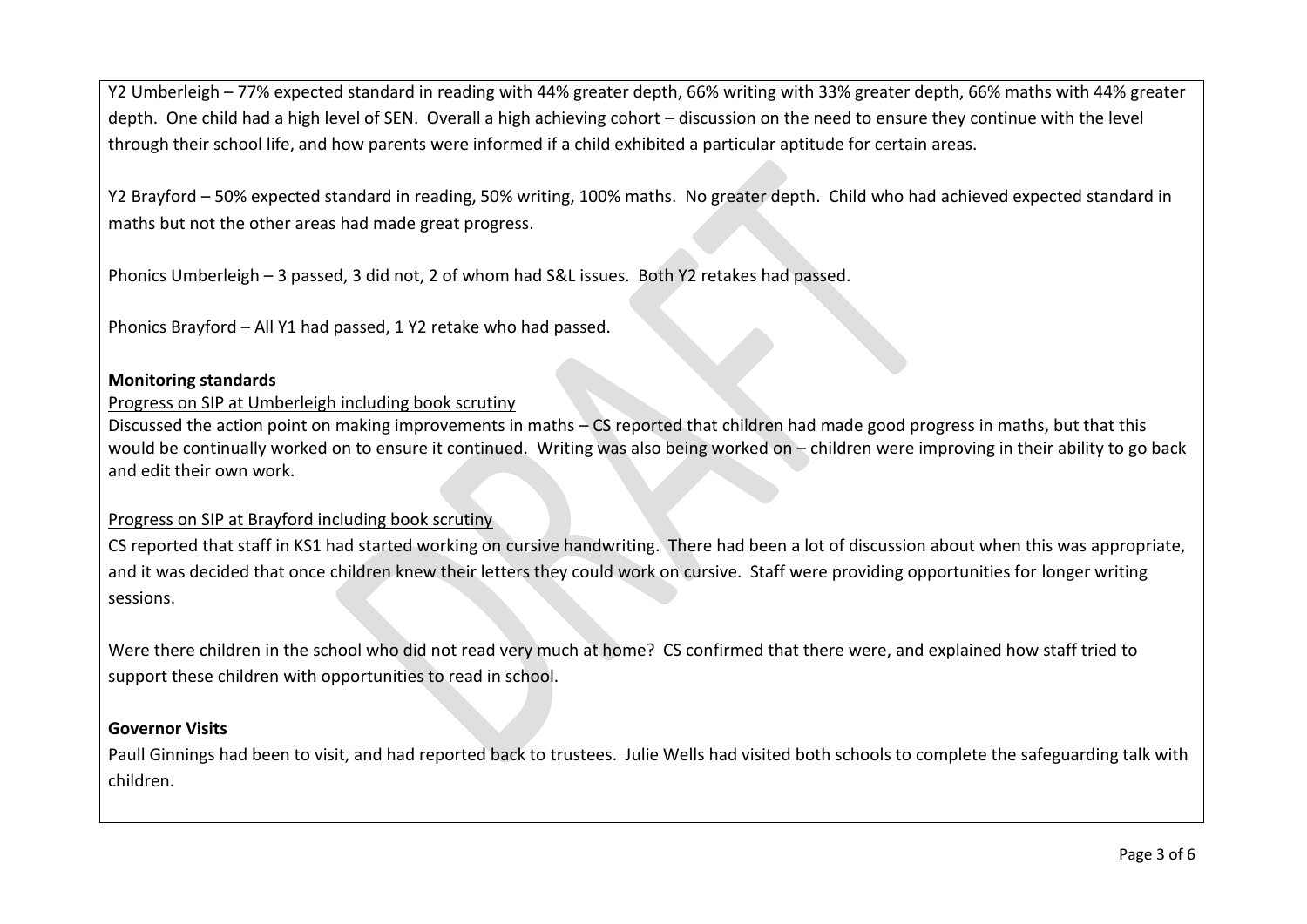Y2 Umberleigh – 77% expected standard in reading with 44% greater depth, 66% writing with 33% greater depth, 66% maths with 44% greater depth. One child had a high level of SEN. Overall a high achieving cohort – discussion on the need to ensure they continue with the level through their school life, and how parents were informed if a child exhibited a particular aptitude for certain areas.

Y2 Brayford – 50% expected standard in reading, 50% writing, 100% maths. No greater depth. Child who had achieved expected standard in maths but not the other areas had made great progress.

Phonics Umberleigh – 3 passed, 3 did not, 2 of whom had S&L issues. Both Y2 retakes had passed.

Phonics Brayford – All Y1 had passed, 1 Y2 retake who had passed.

#### **Monitoring standards**

#### Progress on SIP at Umberleigh including book scrutiny

Discussed the action point on making improvements in maths – CS reported that children had made good progress in maths, but that this would be continually worked on to ensure it continued. Writing was also being worked on – children were improving in their ability to go back and edit their own work.

#### Progress on SIP at Brayford including book scrutiny

CS reported that staff in KS1 had started working on cursive handwriting. There had been a lot of discussion about when this was appropriate, and it was decided that once children knew their letters they could work on cursive. Staff were providing opportunities for longer writing sessions.

Were there children in the school who did not read very much at home? CS confirmed that there were, and explained how staff tried to support these children with opportunities to read in school.

#### **Governor Visits**

Paull Ginnings had been to visit, and had reported back to trustees. Julie Wells had visited both schools to complete the safeguarding talk with children.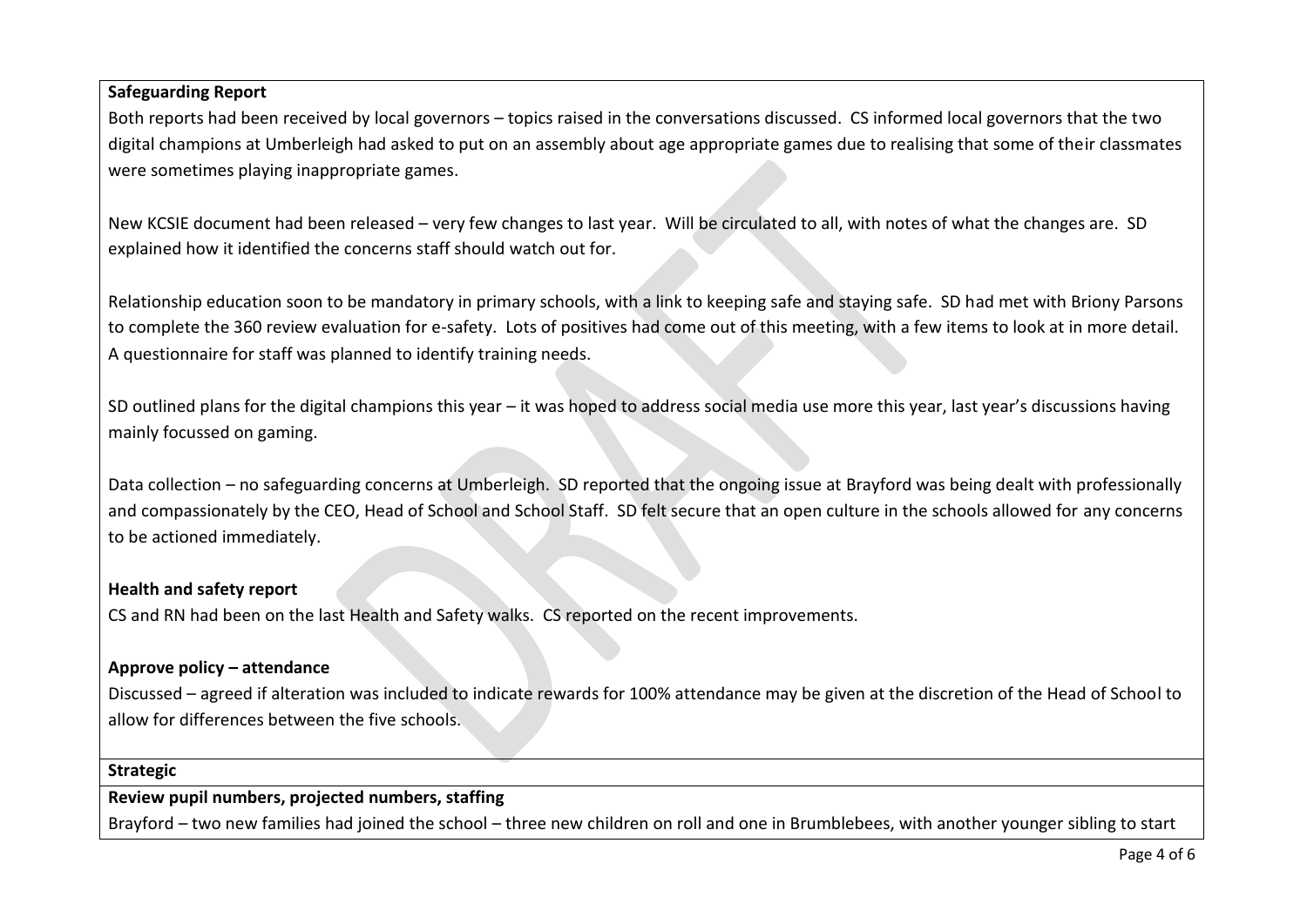#### **Safeguarding Report**

Both reports had been received by local governors – topics raised in the conversations discussed. CS informed local governors that the two digital champions at Umberleigh had asked to put on an assembly about age appropriate games due to realising that some of their classmates were sometimes playing inappropriate games.

New KCSIE document had been released – very few changes to last year. Will be circulated to all, with notes of what the changes are. SD explained how it identified the concerns staff should watch out for.

Relationship education soon to be mandatory in primary schools, with a link to keeping safe and staying safe. SD had met with Briony Parsons to complete the 360 review evaluation for e-safety. Lots of positives had come out of this meeting, with a few items to look at in more detail. A questionnaire for staff was planned to identify training needs.

SD outlined plans for the digital champions this year – it was hoped to address social media use more this year, last year's discussions having mainly focussed on gaming.

Data collection – no safeguarding concerns at Umberleigh. SD reported that the ongoing issue at Brayford was being dealt with professionally and compassionately by the CEO, Head of School and School Staff. SD felt secure that an open culture in the schools allowed for any concerns to be actioned immediately.

#### **Health and safety report**

CS and RN had been on the last Health and Safety walks. CS reported on the recent improvements.

#### **Approve policy – attendance**

Discussed – agreed if alteration was included to indicate rewards for 100% attendance may be given at the discretion of the Head of School to allow for differences between the five schools.

#### **Strategic**

#### **Review pupil numbers, projected numbers, staffing**

Brayford – two new families had joined the school – three new children on roll and one in Brumblebees, with another younger sibling to start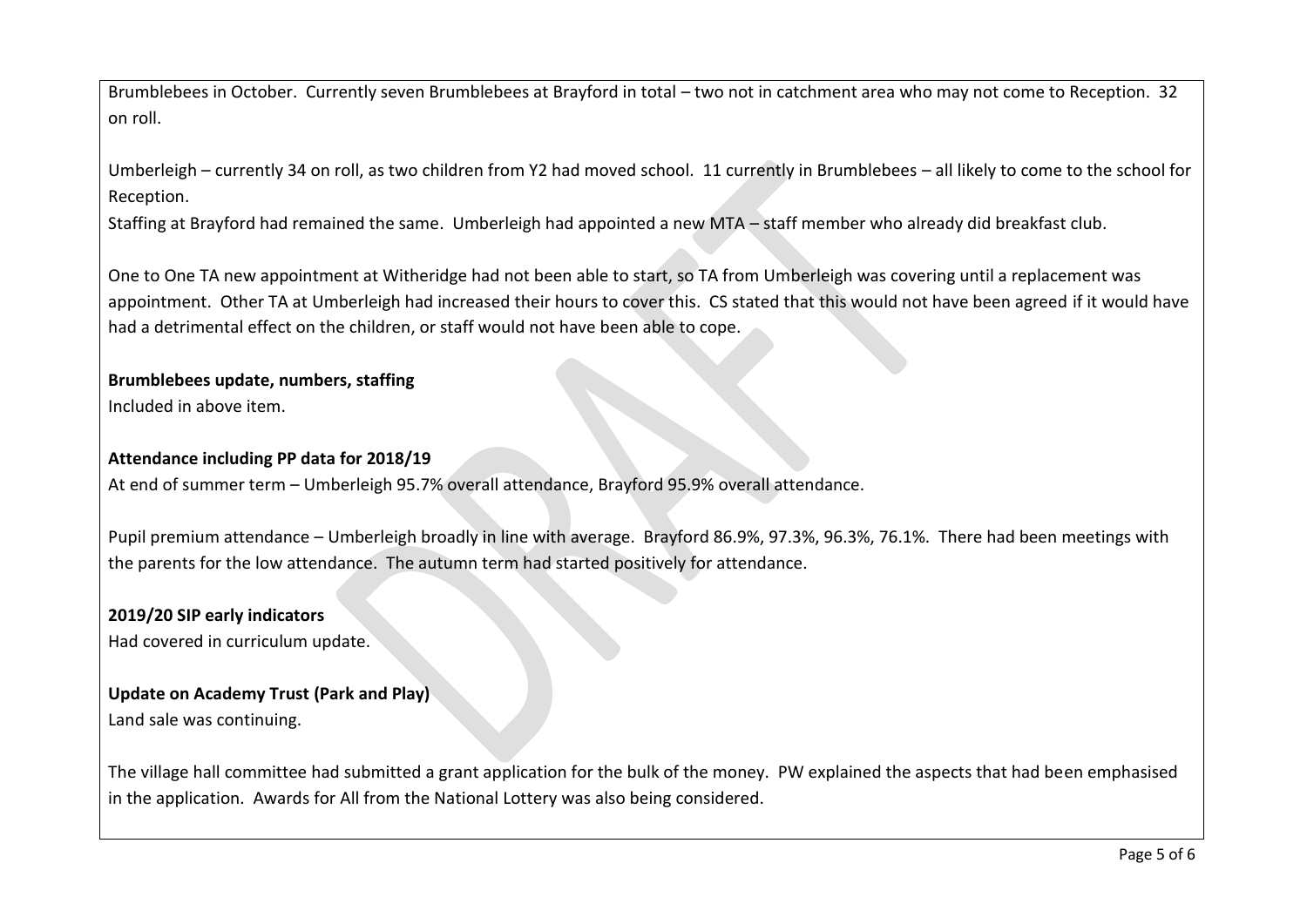Brumblebees in October. Currently seven Brumblebees at Brayford in total – two not in catchment area who may not come to Reception. 32 on roll.

Umberleigh – currently 34 on roll, as two children from Y2 had moved school. 11 currently in Brumblebees – all likely to come to the school for Reception.

Staffing at Brayford had remained the same. Umberleigh had appointed a new MTA – staff member who already did breakfast club.

One to One TA new appointment at Witheridge had not been able to start, so TA from Umberleigh was covering until a replacement was appointment. Other TA at Umberleigh had increased their hours to cover this. CS stated that this would not have been agreed if it would have had a detrimental effect on the children, or staff would not have been able to cope.

# **Brumblebees update, numbers, staffing**

Included in above item.

#### **Attendance including PP data for 2018/19**

At end of summer term – Umberleigh 95.7% overall attendance, Brayford 95.9% overall attendance.

Pupil premium attendance – Umberleigh broadly in line with average. Brayford 86.9%, 97.3%, 96.3%, 76.1%. There had been meetings with the parents for the low attendance. The autumn term had started positively for attendance.

#### **2019/20 SIP early indicators**

Had covered in curriculum update.

### **Update on Academy Trust (Park and Play)**

Land sale was continuing.

The village hall committee had submitted a grant application for the bulk of the money. PW explained the aspects that had been emphasised in the application. Awards for All from the National Lottery was also being considered.